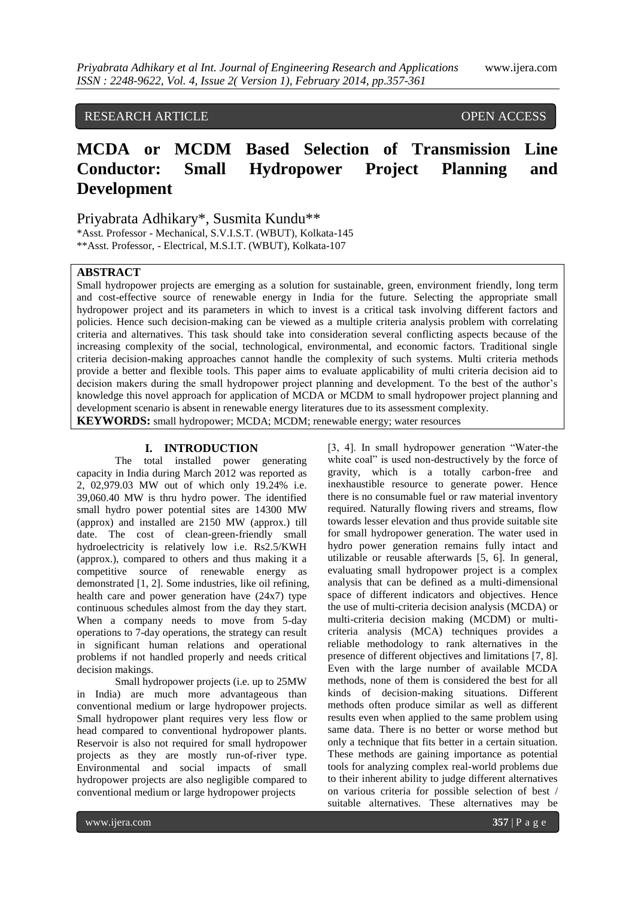# RESEARCH ARTICLE OPEN ACCESS

# **MCDA or MCDM Based Selection of Transmission Line Conductor: Small Hydropower Project Planning and Development**

Priyabrata Adhikary\*, Susmita Kundu\*\*

\*Asst. Professor - Mechanical, S.V.I.S.T. (WBUT), Kolkata-145 \*\*Asst. Professor, - Electrical, M.S.I.T. (WBUT), Kolkata-107

# **ABSTRACT**

Small hydropower projects are emerging as a solution for sustainable, green, environment friendly, long term and cost-effective source of renewable energy in India for the future. Selecting the appropriate small hydropower project and its parameters in which to invest is a critical task involving different factors and policies. Hence such decision-making can be viewed as a multiple criteria analysis problem with correlating criteria and alternatives. This task should take into consideration several conflicting aspects because of the increasing complexity of the social, technological, environmental, and economic factors. Traditional single criteria decision-making approaches cannot handle the complexity of such systems. Multi criteria methods provide a better and flexible tools. This paper aims to evaluate applicability of multi criteria decision aid to decision makers during the small hydropower project planning and development. To the best of the author's knowledge this novel approach for application of MCDA or MCDM to small hydropower project planning and development scenario is absent in renewable energy literatures due to its assessment complexity.

**KEYWORDS:** small hydropower; MCDA; MCDM; renewable energy; water resources

# **I. INTRODUCTION**

The total installed power generating capacity in India during March 2012 was reported as 2, 02,979.03 MW out of which only 19.24% i.e. 39,060.40 MW is thru hydro power. The identified small hydro power potential sites are 14300 MW (approx) and installed are 2150 MW (approx.) till date. The cost of clean-green-friendly small hydroelectricity is relatively low i.e. Rs2.5/KWH (approx.), compared to others and thus making it a competitive source of renewable energy as demonstrated [1, 2]. Some industries, like oil refining, health care and power generation have (24x7) type continuous schedules almost from the day they start. When a company needs to move from 5-day operations to 7-day operations, the strategy can result in significant human relations and operational problems if not handled properly and needs critical decision makings.

Small hydropower projects (i.e. up to 25MW in India) are much more advantageous than conventional medium or large hydropower projects. Small hydropower plant requires very less flow or head compared to conventional hydropower plants. Reservoir is also not required for small hydropower projects as they are mostly run-of-river type. Environmental and social impacts of small hydropower projects are also negligible compared to conventional medium or large hydropower projects

[3, 4]. In small hydropower generation "Water-the white coal" is used non-destructively by the force of gravity, which is a totally carbon-free and inexhaustible resource to generate power. Hence there is no consumable fuel or raw material inventory required. Naturally flowing rivers and streams, flow towards lesser elevation and thus provide suitable site for small hydropower generation. The water used in hydro power generation remains fully intact and utilizable or reusable afterwards [5, 6]. In general, evaluating small hydropower project is a complex analysis that can be defined as a multi-dimensional space of different indicators and objectives. Hence the use of multi-criteria decision analysis (MCDA) or multi-criteria decision making (MCDM) or multicriteria analysis (MCA) techniques provides a reliable methodology to rank alternatives in the presence of different objectives and limitations [7, 8]. Even with the large number of available MCDA methods, none of them is considered the best for all kinds of decision-making situations. Different methods often produce similar as well as different results even when applied to the same problem using same data. There is no better or worse method but only a technique that fits better in a certain situation. These methods are gaining importance as potential tools for analyzing complex real-world problems due to their inherent ability to judge different alternatives on various criteria for possible selection of best / suitable alternatives. These alternatives may be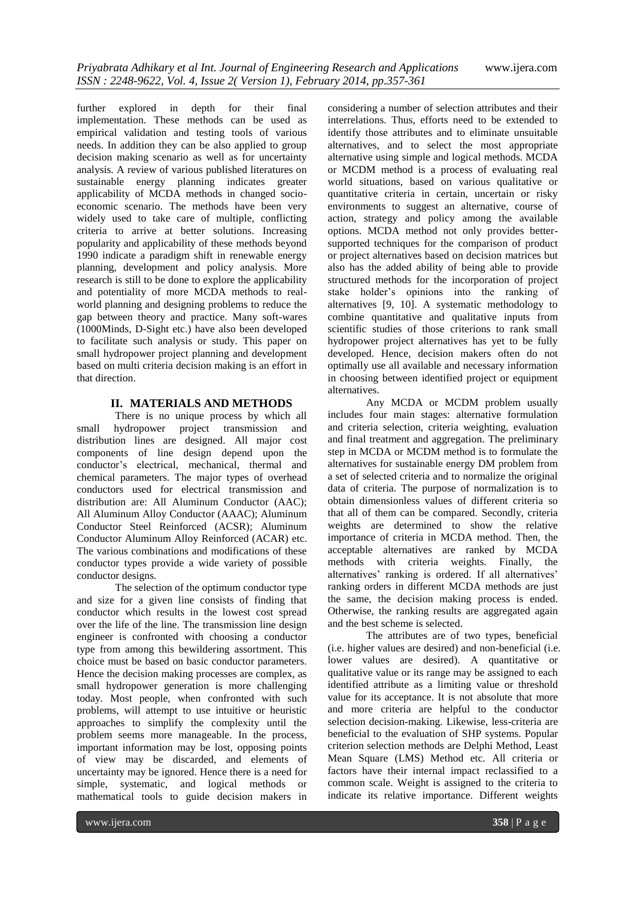further explored in depth for their final implementation. These methods can be used as empirical validation and testing tools of various needs. In addition they can be also applied to group decision making scenario as well as for uncertainty analysis. A review of various published literatures on sustainable energy planning indicates greater applicability of MCDA methods in changed socioeconomic scenario. The methods have been very widely used to take care of multiple, conflicting criteria to arrive at better solutions. Increasing popularity and applicability of these methods beyond 1990 indicate a paradigm shift in renewable energy planning, development and policy analysis. More research is still to be done to explore the applicability and potentiality of more MCDA methods to realworld planning and designing problems to reduce the gap between theory and practice. Many soft-wares (1000Minds, D-Sight etc.) have also been developed to facilitate such analysis or study. This paper on small hydropower project planning and development based on multi criteria decision making is an effort in that direction.

### **II. MATERIALS AND METHODS**

There is no unique process by which all small hydropower project transmission and distribution lines are designed. All major cost components of line design depend upon the conductor's electrical, mechanical, thermal and chemical parameters. The major types of overhead conductors used for electrical transmission and distribution are: All Aluminum Conductor (AAC); All Aluminum Alloy Conductor (AAAC); Aluminum Conductor Steel Reinforced (ACSR); Aluminum Conductor Aluminum Alloy Reinforced (ACAR) etc. The various combinations and modifications of these conductor types provide a wide variety of possible conductor designs.

The selection of the optimum conductor type and size for a given line consists of finding that conductor which results in the lowest cost spread over the life of the line. The transmission line design engineer is confronted with choosing a conductor type from among this bewildering assortment. This choice must be based on basic conductor parameters. Hence the decision making processes are complex, as small hydropower generation is more challenging today. Most people, when confronted with such problems, will attempt to use intuitive or heuristic approaches to simplify the complexity until the problem seems more manageable. In the process, important information may be lost, opposing points of view may be discarded, and elements of uncertainty may be ignored. Hence there is a need for simple, systematic, and logical methods or mathematical tools to guide decision makers in

considering a number of selection attributes and their interrelations. Thus, efforts need to be extended to identify those attributes and to eliminate unsuitable alternatives, and to select the most appropriate alternative using simple and logical methods. MCDA or MCDM method is a process of evaluating real world situations, based on various qualitative or quantitative criteria in certain, uncertain or risky environments to suggest an alternative, course of action, strategy and policy among the available options. MCDA method not only provides bettersupported techniques for the comparison of product or project alternatives based on decision matrices but also has the added ability of being able to provide structured methods for the incorporation of project stake holder's opinions into the ranking of alternatives [9, 10]. A systematic methodology to combine quantitative and qualitative inputs from scientific studies of those criterions to rank small hydropower project alternatives has yet to be fully developed. Hence, decision makers often do not optimally use all available and necessary information in choosing between identified project or equipment alternatives.

Any MCDA or MCDM problem usually includes four main stages: alternative formulation and criteria selection, criteria weighting, evaluation and final treatment and aggregation. The preliminary step in MCDA or MCDM method is to formulate the alternatives for sustainable energy DM problem from a set of selected criteria and to normalize the original data of criteria. The purpose of normalization is to obtain dimensionless values of different criteria so that all of them can be compared. Secondly, criteria weights are determined to show the relative importance of criteria in MCDA method. Then, the acceptable alternatives are ranked by MCDA methods with criteria weights. Finally, the alternatives' ranking is ordered. If all alternatives' ranking orders in different MCDA methods are just the same, the decision making process is ended. Otherwise, the ranking results are aggregated again and the best scheme is selected.

The attributes are of two types, beneficial (i.e. higher values are desired) and non-beneficial (i.e. lower values are desired). A quantitative or qualitative value or its range may be assigned to each identified attribute as a limiting value or threshold value for its acceptance. It is not absolute that more and more criteria are helpful to the conductor selection decision-making. Likewise, less-criteria are beneficial to the evaluation of SHP systems. Popular criterion selection methods are Delphi Method, Least Mean Square (LMS) Method etc. All criteria or factors have their internal impact reclassified to a common scale. Weight is assigned to the criteria to indicate its relative importance. Different weights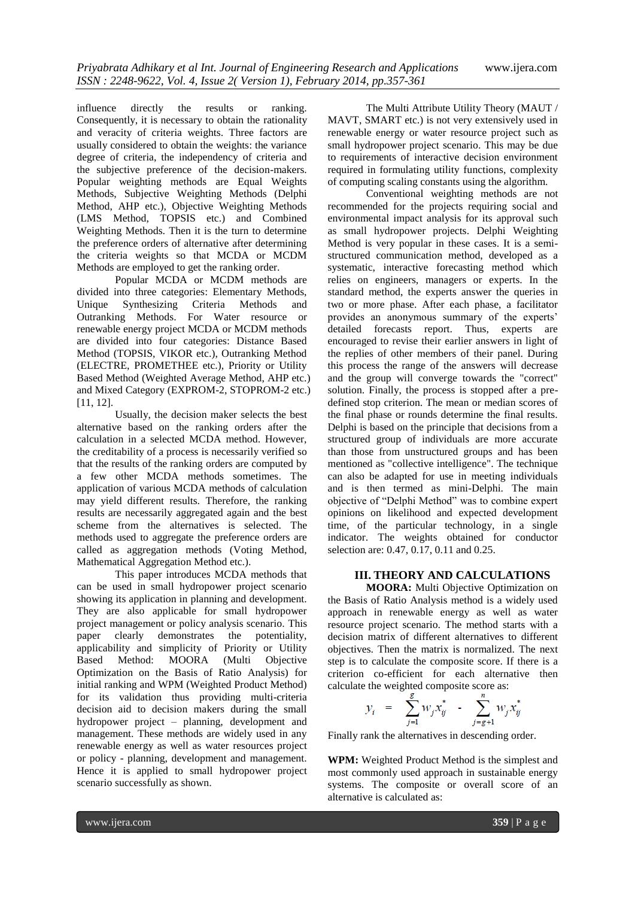influence directly the results or ranking. Consequently, it is necessary to obtain the rationality and veracity of criteria weights. Three factors are usually considered to obtain the weights: the variance degree of criteria, the independency of criteria and the subjective preference of the decision-makers. Popular weighting methods are Equal Weights Methods, Subjective Weighting Methods (Delphi Method, AHP etc.), Objective Weighting Methods (LMS Method, TOPSIS etc.) and Combined Weighting Methods. Then it is the turn to determine the preference orders of alternative after determining the criteria weights so that MCDA or MCDM Methods are employed to get the ranking order.

Popular MCDA or MCDM methods are divided into three categories: Elementary Methods, Unique Synthesizing Criteria Methods and Outranking Methods. For Water resource or renewable energy project MCDA or MCDM methods are divided into four categories: Distance Based Method (TOPSIS, VIKOR etc.), Outranking Method (ELECTRE, PROMETHEE etc.), Priority or Utility Based Method (Weighted Average Method, AHP etc.) and Mixed Category (EXPROM-2, STOPROM-2 etc.) [11, 12].

Usually, the decision maker selects the best alternative based on the ranking orders after the calculation in a selected MCDA method. However, the creditability of a process is necessarily verified so that the results of the ranking orders are computed by a few other MCDA methods sometimes. The application of various MCDA methods of calculation may yield different results. Therefore, the ranking results are necessarily aggregated again and the best scheme from the alternatives is selected. The methods used to aggregate the preference orders are called as aggregation methods (Voting Method, Mathematical Aggregation Method etc.).

This paper introduces MCDA methods that can be used in small hydropower project scenario showing its application in planning and development. They are also applicable for small hydropower project management or policy analysis scenario. This paper clearly demonstrates the potentiality, applicability and simplicity of Priority or Utility Based Method: MOORA (Multi Objective Optimization on the Basis of Ratio Analysis) for initial ranking and WPM (Weighted Product Method) for its validation thus providing multi-criteria decision aid to decision makers during the small hydropower project – planning, development and management. These methods are widely used in any renewable energy as well as water resources project or policy - planning, development and management. Hence it is applied to small hydropower project scenario successfully as shown.

The Multi Attribute Utility Theory (MAUT / MAVT, SMART etc.) is not very extensively used in renewable energy or water resource project such as small hydropower project scenario. This may be due to requirements of interactive decision environment required in formulating utility functions, complexity of computing scaling constants using the algorithm.

Conventional weighting methods are not recommended for the projects requiring social and environmental impact analysis for its approval such as small hydropower projects. Delphi Weighting Method is very popular in these cases. It is a semistructured communication method, developed as a systematic, interactive forecasting method which relies on engineers, managers or experts. In the standard method, the experts answer the queries in two or more phase. After each phase, a facilitator provides an anonymous summary of the experts' detailed forecasts report. Thus, experts are encouraged to revise their earlier answers in light of the replies of other members of their panel. During this process the range of the answers will decrease and the group will converge towards the "correct" solution. Finally, the process is stopped after a predefined stop criterion. The mean or median scores of the final phase or rounds determine the final results. Delphi is based on the principle that decisions from a structured group of individuals are more accurate than those from unstructured groups and has been mentioned as "collective intelligence". The technique can also be adapted for use in meeting individuals and is then termed as mini-Delphi. The main objective of "Delphi Method" was to combine expert opinions on likelihood and expected development time, of the particular technology, in a single indicator. The weights obtained for conductor selection are: 0.47, 0.17, 0.11 and 0.25.

# **III. THEORY AND CALCULATIONS**

**MOORA:** Multi Objective Optimization on the Basis of Ratio Analysis method is a widely used approach in renewable energy as well as water resource project scenario. The method starts with a decision matrix of different alternatives to different objectives. Then the matrix is normalized. The next step is to calculate the composite score. If there is a criterion co-efficient for each alternative then calculate the weighted composite score as:

$$
y_i = \sum_{j=1}^{\infty} w_j x_{ij}^* - \sum_{j=g+1}^{\infty} w_j x_{ij}^*
$$

Finally rank the alternatives in descending order.

**WPM:** Weighted Product Method is the simplest and most commonly used approach in sustainable energy systems. The composite or overall score of an alternative is calculated as: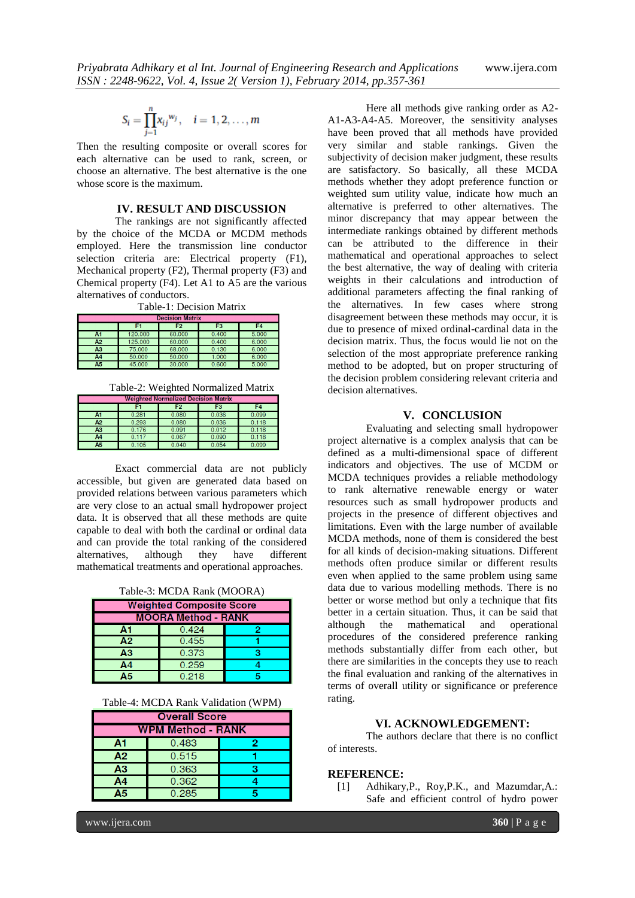$$
S_i = \prod_{j=1}^n x_{ij}^{w_j}, \quad i = 1, 2, \dots, m
$$

Then the resulting composite or overall scores for each alternative can be used to rank, screen, or choose an alternative. The best alternative is the one whose score is the maximum.

#### **IV. RESULT AND DISCUSSION**

The rankings are not significantly affected by the choice of the MCDA or MCDM methods employed. Here the transmission line conductor selection criteria are: Electrical property (F1), Mechanical property (F2), Thermal property (F3) and Chemical property (F4). Let A1 to A5 are the various alternatives of conductors.

|  |  | Table-1: Decision Matrix |  |
|--|--|--------------------------|--|
|--|--|--------------------------|--|

| <b>Decision Matrix</b> |         |                |                |       |
|------------------------|---------|----------------|----------------|-------|
|                        | F1      | F <sub>2</sub> | F <sub>3</sub> | F4    |
| A1                     | 120,000 | 60.000         | 0.400          | 5.000 |
| A2                     | 125.000 | 60.000         | 0.400          | 6.000 |
| AЗ                     | 75,000  | 68,000         | 0.130          | 6.000 |
| A <sub>4</sub>         | 50,000  | 50,000         | 1.000          | 6.000 |
| Ā5                     | 45.000  | 30.000         | 0.600          | 5.000 |

Table-2: Weighted Normalized Matrix

| <u>weighted Normalized Decision Matrix</u> |       |       |                |                |
|--------------------------------------------|-------|-------|----------------|----------------|
|                                            |       | F2    | F <sub>3</sub> | F <sub>4</sub> |
| A1                                         | 0.281 | 0.080 | 0.036          | 0.099          |
| A2                                         | 0.293 | 0.080 | 0.036          | 0.118          |
| A3                                         | 0.176 | 0.091 | 0.012          | 0.118          |
| A <sub>4</sub>                             | 0.117 | 0.067 | 0.090          | 0.118          |
| A <sub>5</sub>                             | 0.105 | 0.040 | 0.054          | 0.099          |

Exact commercial data are not publicly accessible, but given are generated data based on provided relations between various parameters which are very close to an actual small hydropower project data. It is observed that all these methods are quite capable to deal with both the cardinal or ordinal data and can provide the total ranking of the considered alternatives, although they have different mathematical treatments and operational approaches.

Table-3: MCDA Rank (MOORA)

| <b>Weighted Composite Score</b> |       |  |  |
|---------------------------------|-------|--|--|
| <b>MOORA Method - RANK</b>      |       |  |  |
| Α1                              | 0.424 |  |  |
| A2                              | 0.455 |  |  |
| A3                              | 0.373 |  |  |
| Α4                              | 0.259 |  |  |
| Δ5                              | 0.218 |  |  |

| <b>Overall Score</b>     |       |   |  |
|--------------------------|-------|---|--|
| <b>WPM Method - RANK</b> |       |   |  |
| Α1                       | 0.483 | 2 |  |
| A2                       | 0.515 |   |  |
| A3                       | 0.363 |   |  |
| A4                       | 0.362 |   |  |
| 15                       | 0.285 |   |  |

Here all methods give ranking order as A2- A1-A3-A4-A5. Moreover, the sensitivity analyses have been proved that all methods have provided very similar and stable rankings. Given the subjectivity of decision maker judgment, these results are satisfactory. So basically, all these MCDA methods whether they adopt preference function or weighted sum utility value, indicate how much an alternative is preferred to other alternatives. The minor discrepancy that may appear between the intermediate rankings obtained by different methods can be attributed to the difference in their mathematical and operational approaches to select the best alternative, the way of dealing with criteria weights in their calculations and introduction of additional parameters affecting the final ranking of the alternatives. In few cases where strong disagreement between these methods may occur, it is due to presence of mixed ordinal-cardinal data in the decision matrix. Thus, the focus would lie not on the selection of the most appropriate preference ranking method to be adopted, but on proper structuring of the decision problem considering relevant criteria and decision alternatives.

# **V. CONCLUSION**

Evaluating and selecting small hydropower project alternative is a complex analysis that can be defined as a multi-dimensional space of different indicators and objectives. The use of MCDM or MCDA techniques provides a reliable methodology to rank alternative renewable energy or water resources such as small hydropower products and projects in the presence of different objectives and limitations. Even with the large number of available MCDA methods, none of them is considered the best for all kinds of decision-making situations. Different methods often produce similar or different results even when applied to the same problem using same data due to various modelling methods. There is no better or worse method but only a technique that fits better in a certain situation. Thus, it can be said that although the mathematical and operational procedures of the considered preference ranking methods substantially differ from each other, but there are similarities in the concepts they use to reach the final evaluation and ranking of the alternatives in terms of overall utility or significance or preference rating.

#### **VI. ACKNOWLEDGEMENT:**

The authors declare that there is no conflict of interests.

#### **REFERENCE:**

[1] Adhikary,P., Roy,P.K., and Mazumdar,A.: Safe and efficient control of hydro power

www.ijera.com **360** | P a g e